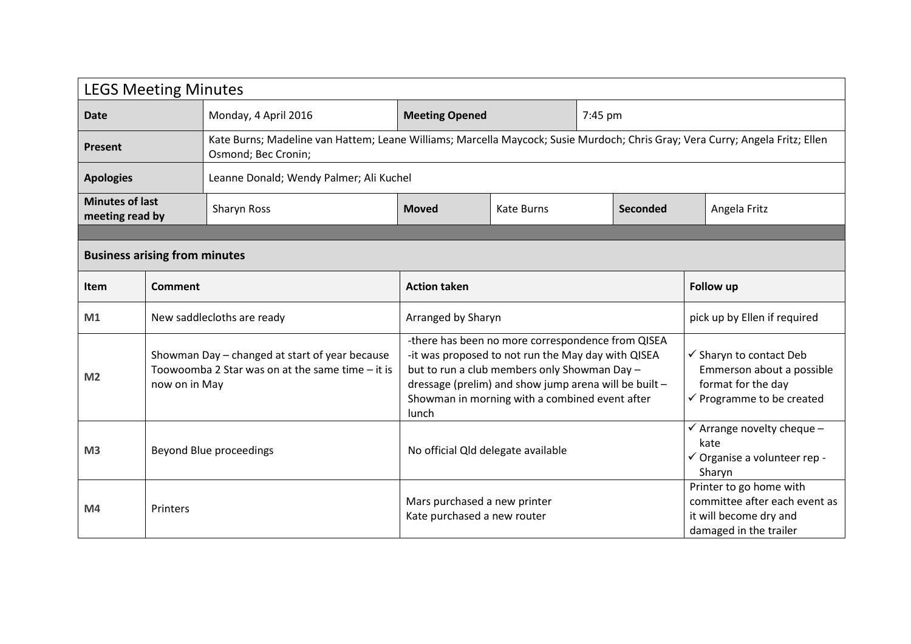| <b>LEGS Meeting Minutes</b>               |                                                                                                                                                                                                                                                                                                                                                                                                    |                                                                                                                                                      |                                                             |                                                                                                                               |         |                                                                                                              |              |  |  |
|-------------------------------------------|----------------------------------------------------------------------------------------------------------------------------------------------------------------------------------------------------------------------------------------------------------------------------------------------------------------------------------------------------------------------------------------------------|------------------------------------------------------------------------------------------------------------------------------------------------------|-------------------------------------------------------------|-------------------------------------------------------------------------------------------------------------------------------|---------|--------------------------------------------------------------------------------------------------------------|--------------|--|--|
| <b>Date</b>                               |                                                                                                                                                                                                                                                                                                                                                                                                    | Monday, 4 April 2016                                                                                                                                 | <b>Meeting Opened</b>                                       |                                                                                                                               | 7:45 pm |                                                                                                              |              |  |  |
| <b>Present</b>                            |                                                                                                                                                                                                                                                                                                                                                                                                    | Kate Burns; Madeline van Hattem; Leane Williams; Marcella Maycock; Susie Murdoch; Chris Gray; Vera Curry; Angela Fritz; Ellen<br>Osmond; Bec Cronin; |                                                             |                                                                                                                               |         |                                                                                                              |              |  |  |
| <b>Apologies</b>                          |                                                                                                                                                                                                                                                                                                                                                                                                    | Leanne Donald; Wendy Palmer; Ali Kuchel                                                                                                              |                                                             |                                                                                                                               |         |                                                                                                              |              |  |  |
| <b>Minutes of last</b><br>meeting read by |                                                                                                                                                                                                                                                                                                                                                                                                    | Sharyn Ross                                                                                                                                          | <b>Moved</b>                                                | Kate Burns<br>Seconded                                                                                                        |         |                                                                                                              | Angela Fritz |  |  |
|                                           |                                                                                                                                                                                                                                                                                                                                                                                                    |                                                                                                                                                      |                                                             |                                                                                                                               |         |                                                                                                              |              |  |  |
| <b>Business arising from minutes</b>      |                                                                                                                                                                                                                                                                                                                                                                                                    |                                                                                                                                                      |                                                             |                                                                                                                               |         |                                                                                                              |              |  |  |
| Item                                      | Comment                                                                                                                                                                                                                                                                                                                                                                                            |                                                                                                                                                      | <b>Action taken</b>                                         |                                                                                                                               |         | Follow up                                                                                                    |              |  |  |
| M1                                        |                                                                                                                                                                                                                                                                                                                                                                                                    | Arranged by Sharyn<br>New saddlecloths are ready                                                                                                     |                                                             |                                                                                                                               |         | pick up by Ellen if required                                                                                 |              |  |  |
| M <sub>2</sub>                            | -there has been no more correspondence from QISEA<br>-it was proposed to not run the May day with QISEA<br>Showman Day - changed at start of year because<br>Toowoomba 2 Star was on at the same time - it is<br>but to run a club members only Showman Day -<br>dressage (prelim) and show jump arena will be built -<br>now on in May<br>Showman in morning with a combined event after<br>lunch |                                                                                                                                                      |                                                             | $\checkmark$ Sharyn to contact Deb<br>Emmerson about a possible<br>format for the day<br>$\checkmark$ Programme to be created |         |                                                                                                              |              |  |  |
| M <sub>3</sub>                            | Beyond Blue proceedings                                                                                                                                                                                                                                                                                                                                                                            |                                                                                                                                                      | No official Qld delegate available                          |                                                                                                                               |         | $\checkmark$ Arrange novelty cheque -<br>kate<br>$\checkmark$ Organise a volunteer rep -<br>Sharyn           |              |  |  |
| M4                                        | Printers                                                                                                                                                                                                                                                                                                                                                                                           |                                                                                                                                                      | Mars purchased a new printer<br>Kate purchased a new router |                                                                                                                               |         | Printer to go home with<br>committee after each event as<br>it will become dry and<br>damaged in the trailer |              |  |  |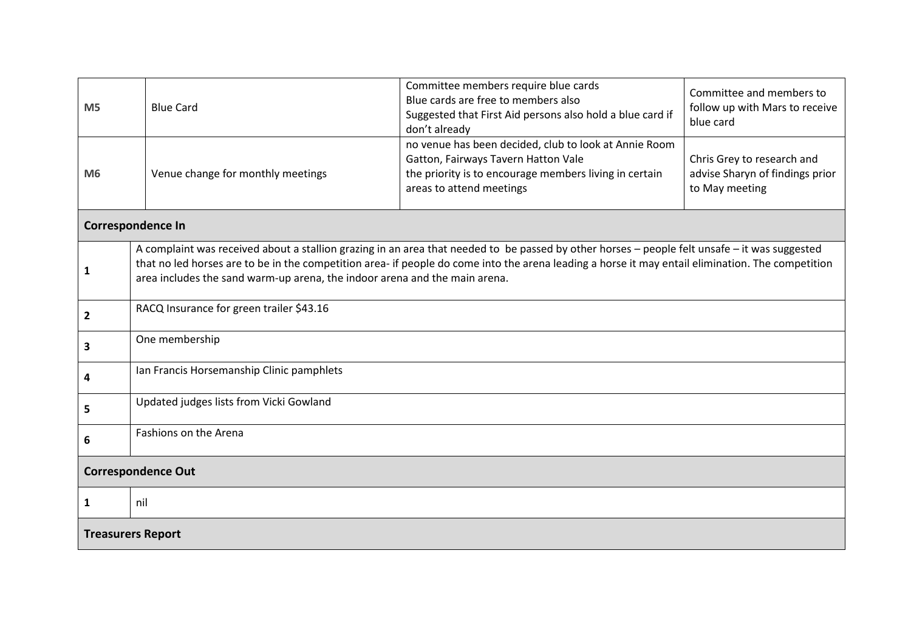| M <sub>5</sub>            | <b>Blue Card</b>                                                                                                                                                                                                                                                                                                                                                                 | Committee members require blue cards<br>Blue cards are free to members also<br>Suggested that First Aid persons also hold a blue card if<br>don't already                          | Committee and members to<br>follow up with Mars to receive<br>blue card         |  |  |  |  |
|---------------------------|----------------------------------------------------------------------------------------------------------------------------------------------------------------------------------------------------------------------------------------------------------------------------------------------------------------------------------------------------------------------------------|------------------------------------------------------------------------------------------------------------------------------------------------------------------------------------|---------------------------------------------------------------------------------|--|--|--|--|
| M <sub>6</sub>            | Venue change for monthly meetings                                                                                                                                                                                                                                                                                                                                                | no venue has been decided, club to look at Annie Room<br>Gatton, Fairways Tavern Hatton Vale<br>the priority is to encourage members living in certain<br>areas to attend meetings | Chris Grey to research and<br>advise Sharyn of findings prior<br>to May meeting |  |  |  |  |
| <b>Correspondence In</b>  |                                                                                                                                                                                                                                                                                                                                                                                  |                                                                                                                                                                                    |                                                                                 |  |  |  |  |
| 1                         | A complaint was received about a stallion grazing in an area that needed to be passed by other horses - people felt unsafe - it was suggested<br>that no led horses are to be in the competition area- if people do come into the arena leading a horse it may entail elimination. The competition<br>area includes the sand warm-up arena, the indoor arena and the main arena. |                                                                                                                                                                                    |                                                                                 |  |  |  |  |
| $\overline{\mathbf{c}}$   | RACQ Insurance for green trailer \$43.16                                                                                                                                                                                                                                                                                                                                         |                                                                                                                                                                                    |                                                                                 |  |  |  |  |
| 3                         | One membership                                                                                                                                                                                                                                                                                                                                                                   |                                                                                                                                                                                    |                                                                                 |  |  |  |  |
| 4                         | Ian Francis Horsemanship Clinic pamphlets                                                                                                                                                                                                                                                                                                                                        |                                                                                                                                                                                    |                                                                                 |  |  |  |  |
| 5                         | Updated judges lists from Vicki Gowland                                                                                                                                                                                                                                                                                                                                          |                                                                                                                                                                                    |                                                                                 |  |  |  |  |
| 6                         | Fashions on the Arena                                                                                                                                                                                                                                                                                                                                                            |                                                                                                                                                                                    |                                                                                 |  |  |  |  |
| <b>Correspondence Out</b> |                                                                                                                                                                                                                                                                                                                                                                                  |                                                                                                                                                                                    |                                                                                 |  |  |  |  |
| 1                         | nil                                                                                                                                                                                                                                                                                                                                                                              |                                                                                                                                                                                    |                                                                                 |  |  |  |  |
| <b>Treasurers Report</b>  |                                                                                                                                                                                                                                                                                                                                                                                  |                                                                                                                                                                                    |                                                                                 |  |  |  |  |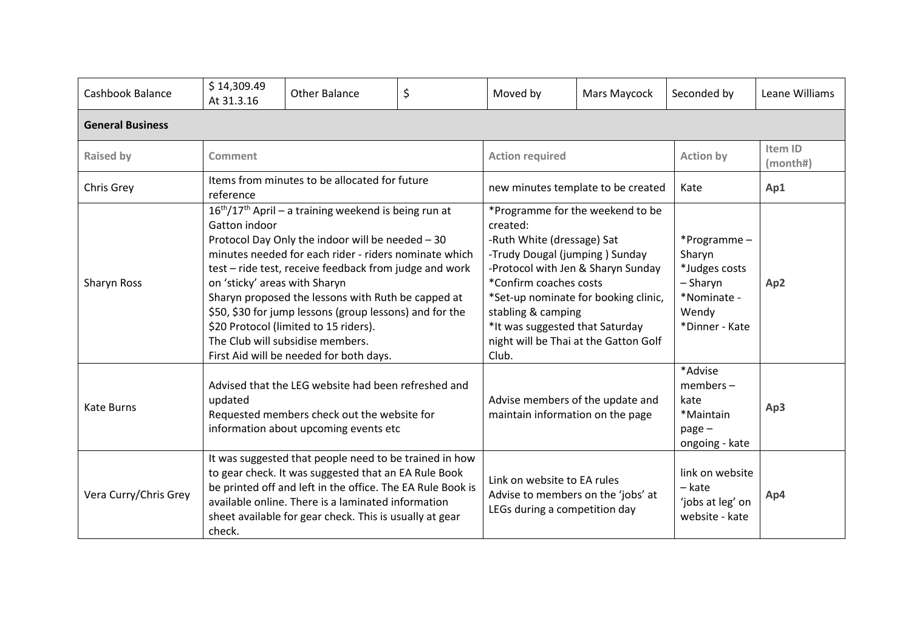| Cashbook Balance        | \$14,309.49<br>At 31.3.16                                                                                                                                                                                                                                                                                                                                                                                                                                                                                                                       | <b>Other Balance</b>                                                                                                                                                                                                                                                                          | \$ | Moved by                                                                                                                                                                                                                                                                                | Mars Maycock                         | Seconded by                                                                                  | Leane Williams      |  |
|-------------------------|-------------------------------------------------------------------------------------------------------------------------------------------------------------------------------------------------------------------------------------------------------------------------------------------------------------------------------------------------------------------------------------------------------------------------------------------------------------------------------------------------------------------------------------------------|-----------------------------------------------------------------------------------------------------------------------------------------------------------------------------------------------------------------------------------------------------------------------------------------------|----|-----------------------------------------------------------------------------------------------------------------------------------------------------------------------------------------------------------------------------------------------------------------------------------------|--------------------------------------|----------------------------------------------------------------------------------------------|---------------------|--|
| <b>General Business</b> |                                                                                                                                                                                                                                                                                                                                                                                                                                                                                                                                                 |                                                                                                                                                                                                                                                                                               |    |                                                                                                                                                                                                                                                                                         |                                      |                                                                                              |                     |  |
| <b>Raised by</b>        | Comment                                                                                                                                                                                                                                                                                                                                                                                                                                                                                                                                         |                                                                                                                                                                                                                                                                                               |    | <b>Action required</b>                                                                                                                                                                                                                                                                  |                                      | <b>Action by</b>                                                                             | Item ID<br>(month#) |  |
| Chris Grey              | Items from minutes to be allocated for future<br>reference                                                                                                                                                                                                                                                                                                                                                                                                                                                                                      |                                                                                                                                                                                                                                                                                               |    |                                                                                                                                                                                                                                                                                         | new minutes template to be created   | Kate                                                                                         | Ap1                 |  |
| Sharyn Ross             | 16 <sup>th</sup> /17 <sup>th</sup> April - a training weekend is being run at<br>Gatton indoor<br>Protocol Day Only the indoor will be needed - 30<br>minutes needed for each rider - riders nominate which<br>test - ride test, receive feedback from judge and work<br>on 'sticky' areas with Sharyn<br>Sharyn proposed the lessons with Ruth be capped at<br>\$50, \$30 for jump lessons (group lessons) and for the<br>\$20 Protocol (limited to 15 riders).<br>The Club will subsidise members.<br>First Aid will be needed for both days. |                                                                                                                                                                                                                                                                                               |    | *Programme for the weekend to be<br>created:<br>-Ruth White (dressage) Sat<br>-Trudy Dougal (jumping) Sunday<br>-Protocol with Jen & Sharyn Sunday<br>*Confirm coaches costs<br>stabling & camping<br>*It was suggested that Saturday<br>night will be Thai at the Gatton Golf<br>Club. | *Set-up nominate for booking clinic, | *Programme-<br>Sharyn<br>*Judges costs<br>- Sharyn<br>*Nominate -<br>Wendy<br>*Dinner - Kate | Ap <sub>2</sub>     |  |
| <b>Kate Burns</b>       | updated                                                                                                                                                                                                                                                                                                                                                                                                                                                                                                                                         | Advised that the LEG website had been refreshed and<br>Requested members check out the website for<br>information about upcoming events etc                                                                                                                                                   |    | Advise members of the update and<br>maintain information on the page                                                                                                                                                                                                                    |                                      | *Advise<br>$members -$<br>kate<br>*Maintain<br>page -<br>ongoing - kate                      |                     |  |
| Vera Curry/Chris Grey   | check.                                                                                                                                                                                                                                                                                                                                                                                                                                                                                                                                          | It was suggested that people need to be trained in how<br>to gear check. It was suggested that an EA Rule Book<br>be printed off and left in the office. The EA Rule Book is<br>available online. There is a laminated information<br>sheet available for gear check. This is usually at gear |    | Link on website to EA rules<br>Advise to members on the 'jobs' at<br>LEGs during a competition day                                                                                                                                                                                      |                                      | link on website<br>– kate<br>'jobs at leg' on<br>website - kate                              | Ap4                 |  |